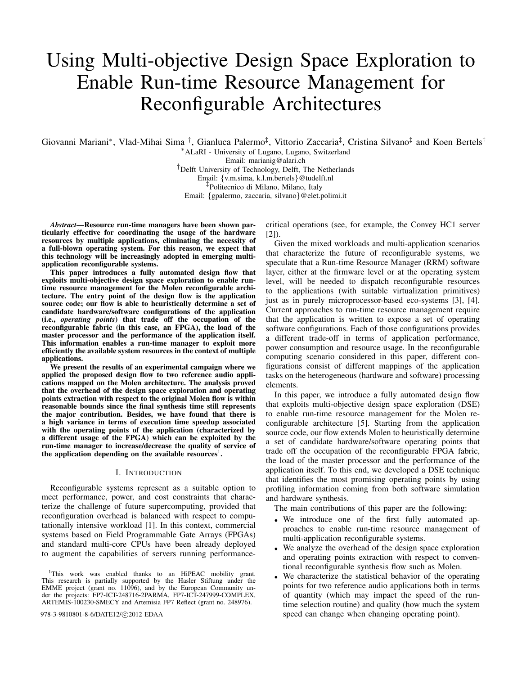# Using Multi-objective Design Space Exploration to Enable Run-time Resource Management for Reconfigurable Architectures

Giovanni Mariani\*, Vlad-Mihai Sima <sup>†</sup>, Gianluca Palermo<sup>‡</sup>, Vittorio Zaccaria<sup>‡</sup>, Cristina Silvano<sup>‡</sup> and Koen Bertels<sup>†</sup> <sup>∗</sup>ALaRI - University of Lugano, Lugano, Switzerland

Email: marianig@alari.ch †Delft University of Technology, Delft, The Netherlands Email: {v.m.sima, k.l.m.bertels}@tudelft.nl ‡ Politecnico di Milano, Milano, Italy Email: {gpalermo, zaccaria, silvano}@elet.polimi.it

*Abstract*—Resource run-time managers have been shown particularly effective for coordinating the usage of the hardware resources by multiple applications, eliminating the necessity of a full-blown operating system. For this reason, we expect that this technology will be increasingly adopted in emerging multiapplication reconfigurable systems.

This paper introduces a fully automated design flow that exploits multi-objective design space exploration to enable runtime resource management for the Molen reconfigurable architecture. The entry point of the design flow is the application source code; our flow is able to heuristically determine a set of candidate hardware/software configurations of the application (i.e., *operating points*) that trade off the occupation of the reconfigurable fabric (in this case, an FPGA), the load of the master processor and the performance of the application itself. This information enables a run-time manager to exploit more efficiently the available system resources in the context of multiple applications.

We present the results of an experimental campaign where we applied the proposed design flow to two reference audio applications mapped on the Molen architecture. The analysis proved that the overhead of the design space exploration and operating points extraction with respect to the original Molen flow is within reasonable bounds since the final synthesis time still represents the major contribution. Besides, we have found that there is a high variance in terms of execution time speedup associated with the operating points of the application (characterized by a different usage of the FPGA) which can be exploited by the run-time manager to increase/decrease the quality of service of the application depending on the available resources<sup>1</sup>.

#### I. INTRODUCTION

Reconfigurable systems represent as a suitable option to meet performance, power, and cost constraints that characterize the challenge of future supercomputing, provided that reconfiguration overhead is balanced with respect to computationally intensive workload [1]. In this context, commercial systems based on Field Programmable Gate Arrays (FPGAs) and standard multi-core CPUs have been already deployed to augment the capabilities of servers running performance-

critical operations (see, for example, the Convey HC1 server  $[2]$ ).

Given the mixed workloads and multi-application scenarios that characterize the future of reconfigurable systems, we speculate that a Run-time Resource Manager (RRM) software layer, either at the firmware level or at the operating system level, will be needed to dispatch reconfigurable resources to the applications (with suitable virtualization primitives) just as in purely microprocessor-based eco-systems [3], [4]. Current approaches to run-time resource management require that the application is written to expose a set of operating software configurations. Each of those configurations provides a different trade-off in terms of application performance, power consumption and resource usage. In the reconfigurable computing scenario considered in this paper, different configurations consist of different mappings of the application tasks on the heterogeneous (hardware and software) processing elements.

In this paper, we introduce a fully automated design flow that exploits multi-objective design space exploration (DSE) to enable run-time resource management for the Molen reconfigurable architecture [5]. Starting from the application source code, our flow extends Molen to heuristically determine a set of candidate hardware/software operating points that trade off the occupation of the reconfigurable FPGA fabric, the load of the master processor and the performance of the application itself. To this end, we developed a DSE technique that identifies the most promising operating points by using profiling information coming from both software simulation and hardware synthesis.

The main contributions of this paper are the following:

- We introduce one of the first fully automated approaches to enable run-time resource management of multi-application reconfigurable systems.
- We analyze the overhead of the design space exploration and operating points extraction with respect to conventional reconfigurable synthesis flow such as Molen.
- We characterize the statistical behavior of the operating points for two reference audio applications both in terms of quantity (which may impact the speed of the runtime selection routine) and quality (how much the system 978-3-9810801-8-6/DATE12/©2012 EDAA speed can change when changing operating point).

<sup>&</sup>lt;sup>1</sup>This work was enabled thanks to an HiPEAC mobility grant. This research is partially supported by the Hasler Stiftung under the EMME project (grant no. 11096), and by the European Community under the projects: FP7-ICT-248716-2PARMA, FP7-ICT-247999-COMPLEX, ARTEMIS-100230-SMECY and Artemisia FP7 Reflect (grant no. 248976).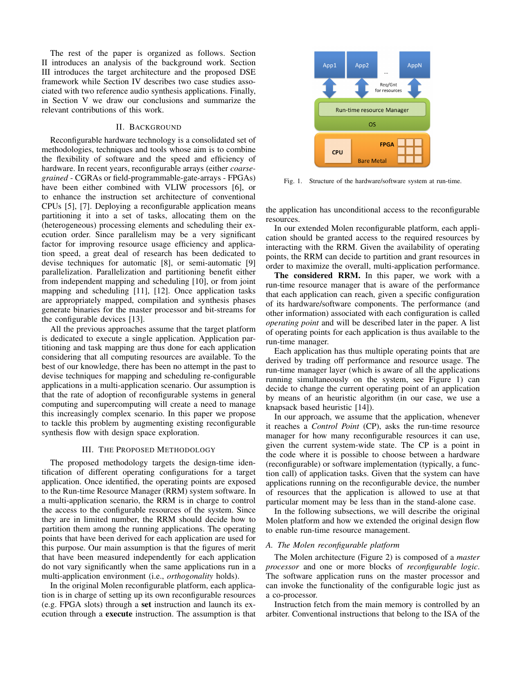The rest of the paper is organized as follows. Section II introduces an analysis of the background work. Section III introduces the target architecture and the proposed DSE framework while Section IV describes two case studies associated with two reference audio synthesis applications. Finally, in Section V we draw our conclusions and summarize the relevant contributions of this work.

# II. BACKGROUND

Reconfigurable hardware technology is a consolidated set of methodologies, techniques and tools whose aim is to combine the flexibility of software and the speed and efficiency of hardware. In recent years, reconfigurable arrays (either *coarsegrained* - CGRAs or field-programmable-gate-arrays - FPGAs) have been either combined with VLIW processors [6], or to enhance the instruction set architecture of conventional CPUs [5], [7]. Deploying a reconfigurable application means partitioning it into a set of tasks, allocating them on the (heterogeneous) processing elements and scheduling their execution order. Since parallelism may be a very significant factor for improving resource usage efficiency and application speed, a great deal of research has been dedicated to devise techniques for automatic [8], or semi-automatic [9] parallelization. Parallelization and partitioning benefit either from independent mapping and scheduling [10], or from joint mapping and scheduling [11], [12]. Once application tasks are appropriately mapped, compilation and synthesis phases generate binaries for the master processor and bit-streams for the configurable devices [13].

All the previous approaches assume that the target platform is dedicated to execute a single application. Application partitioning and task mapping are thus done for each application considering that all computing resources are available. To the best of our knowledge, there has been no attempt in the past to devise techniques for mapping and scheduling re-configurable applications in a multi-application scenario. Our assumption is that the rate of adoption of reconfigurable systems in general computing and supercomputing will create a need to manage this increasingly complex scenario. In this paper we propose to tackle this problem by augmenting existing reconfigurable synthesis flow with design space exploration.

## III. THE PROPOSED METHODOLOGY

The proposed methodology targets the design-time identification of different operating configurations for a target application. Once identified, the operating points are exposed to the Run-time Resource Manager (RRM) system software. In a multi-application scenario, the RRM is in charge to control the access to the configurable resources of the system. Since they are in limited number, the RRM should decide how to partition them among the running applications. The operating points that have been derived for each application are used for this purpose. Our main assumption is that the figures of merit that have been measured independently for each application do not vary significantly when the same applications run in a multi-application environment (i.e., *orthogonality* holds).

In the original Molen reconfigurable platform, each application is in charge of setting up its own reconfigurable resources (e.g. FPGA slots) through a set instruction and launch its execution through a execute instruction. The assumption is that



Fig. 1. Structure of the hardware/software system at run-time.

the application has unconditional access to the reconfigurable resources.

In our extended Molen reconfigurable platform, each application should be granted access to the required resources by interacting with the RRM. Given the availability of operating points, the RRM can decide to partition and grant resources in order to maximize the overall, multi-application performance.

The considered RRM. In this paper, we work with a run-time resource manager that is aware of the performance that each application can reach, given a specific configuration of its hardware/software components. The performance (and other information) associated with each configuration is called *operating point* and will be described later in the paper. A list of operating points for each application is thus available to the run-time manager.

Each application has thus multiple operating points that are derived by trading off performance and resource usage. The run-time manager layer (which is aware of all the applications running simultaneously on the system, see Figure 1) can decide to change the current operating point of an application by means of an heuristic algorithm (in our case, we use a knapsack based heuristic [14]).

In our approach, we assume that the application, whenever it reaches a *Control Point* (CP), asks the run-time resource manager for how many reconfigurable resources it can use, given the current system-wide state. The CP is a point in the code where it is possible to choose between a hardware (reconfigurable) or software implementation (typically, a function call) of application tasks. Given that the system can have applications running on the reconfigurable device, the number of resources that the application is allowed to use at that particular moment may be less than in the stand-alone case.

In the following subsections, we will describe the original Molen platform and how we extended the original design flow to enable run-time resource management.

# *A. The Molen reconfigurable platform*

The Molen architecture (Figure 2) is composed of a *master processor* and one or more blocks of *reconfigurable logic*. The software application runs on the master processor and can invoke the functionality of the configurable logic just as a co-processor.

Instruction fetch from the main memory is controlled by an arbiter. Conventional instructions that belong to the ISA of the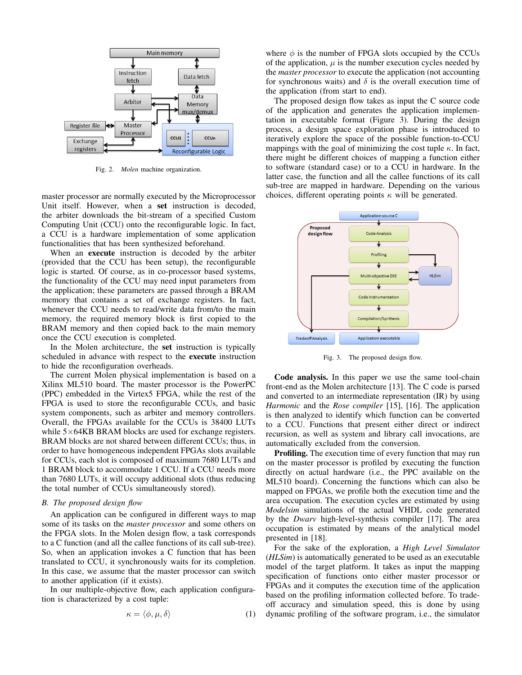

Fig. 2. *Molen* machine organization.

master processor are normally executed by the Microprocessor Unit itself. However, when a set instruction is decoded, the arbiter downloads the bit-stream of a specified Custom Computing Unit (CCU) onto the reconfigurable logic. In fact, a CCU is a hardware implementation of some application functionalities that has been synthesized beforehand.

When an execute instruction is decoded by the arbiter (provided that the CCU has been setup), the reconfigurable logic is started. Of course, as in co-processor based systems, the functionality of the CCU may need input parameters from the application; these parameters are passed through a BRAM memory that contains a set of exchange registers. In fact, whenever the CCU needs to read/write data from/to the main memory, the required memory block is first copied to the BRAM memory and then copied back to the main memory once the CCU execution is completed.

In the Molen architecture, the set instruction is typically scheduled in advance with respect to the execute instruction to hide the reconfiguration overheads.

The current Molen physical implementation is based on a Xilinx ML510 board. The master processor is the PowerPC (PPC) embedded in the Virtex5 FPGA, while the rest of the FPGA is used to store the reconfigurable CCUs, and basic system components, such as arbiter and memory controllers. Overall, the FPGAs available for the CCUs is 38400 LUTs while  $5\times64KB$  BRAM blocks are used for exchange registers. BRAM blocks are not shared between different CCUs; thus, in order to have homogeneous independent FPGAs slots available for CCUs, each slot is composed of maximum 7680 LUTs and 1 BRAM block to accommodate 1 CCU. If a CCU needs more than 7680 LUTs, it will occupy additional slots (thus reducing the total number of CCUs simultaneously stored).

## *B. The proposed design flow*

An application can be configured in different ways to map some of its tasks on the *master processor* and some others on the FPGA slots. In the Molen design flow, a task corresponds to a C function (and all the callee functions of its call sub-tree). So, when an application invokes a C function that has been translated to CCU, it synchronously waits for its completion. In this case, we assume that the master processor can switch to another application (if it exists).

In our multiple-objective flow, each application configuration is characterized by a cost tuple:

$$
\kappa = \langle \phi, \mu, \delta \rangle \tag{1}
$$

where  $\phi$  is the number of FPGA slots occupied by the CCUs of the application,  $\mu$  is the number execution cycles needed by the *master processor* to execute the application (not accounting for synchronous waits) and  $\delta$  is the overall execution time of the application (from start to end).

The proposed design flow takes as input the C source code of the application and generates the application implementation in executable format (Figure 3). During the design process, a design space exploration phase is introduced to iteratively explore the space of the possible function-to-CCU mappings with the goal of minimizing the cost tuple  $\kappa$ . In fact, there might be different choices of mapping a function either to software (standard case) or to a CCU in hardware. In the latter case, the function and all the callee functions of its call sub-tree are mapped in hardware. Depending on the various choices, different operating points  $\kappa$  will be generated.



Fig. 3. The proposed design flow.

Code analysis. In this paper we use the same tool-chain front-end as the Molen architecture [13]. The C code is parsed and converted to an intermediate representation (IR) by using *Harmonic* and the *Rose compiler* [15], [16]. The application is then analyzed to identify which function can be converted to a CCU. Functions that present either direct or indirect recursion, as well as system and library call invocations, are automatically excluded from the conversion.

Profiling. The execution time of every function that may run on the master processor is profiled by executing the function directly on actual hardware (i.e., the PPC available on the ML510 board). Concerning the functions which can also be mapped on FPGAs, we profile both the execution time and the area occupation. The execution cycles are estimated by using *Modelsim* simulations of the actual VHDL code generated by the *Dwarv* high-level-synthesis compiler [17]. The area occupation is estimated by means of the analytical model presented in [18].

For the sake of the exploration, a *High Level Simulator* (*HLSim*) is automatically generated to be used as an executable model of the target platform. It takes as input the mapping specification of functions onto either master processor or FPGAs and it computes the execution time of the application based on the profiling information collected before. To tradeoff accuracy and simulation speed, this is done by using dynamic profiling of the software program, i.e., the simulator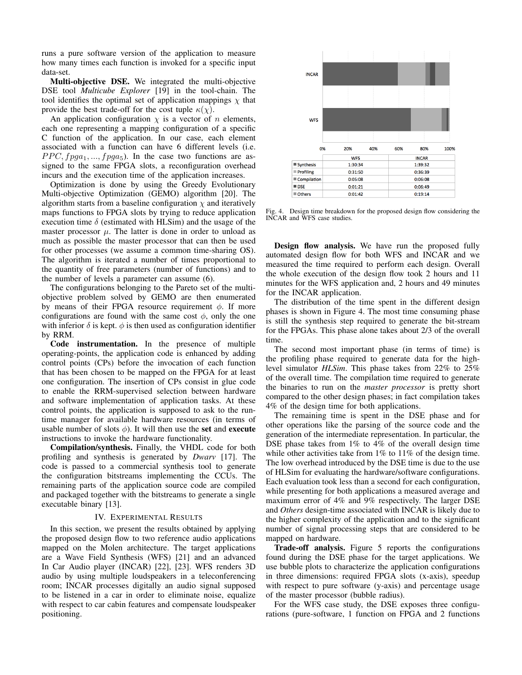runs a pure software version of the application to measure how many times each function is invoked for a specific input data-set.

Multi-objective DSE. We integrated the multi-objective DSE tool *Multicube Explorer* [19] in the tool-chain. The tool identifies the optimal set of application mappings  $\chi$  that provide the best trade-off for the cost tuple  $\kappa(\chi)$ .

An application configuration  $\chi$  is a vector of *n* elements, each one representing a mapping configuration of a specific C function of the application. In our case, each element associated with a function can have 6 different levels (i.e.  $PPC, fpga_1, \ldots, fpga_5$ ). In the case two functions are assigned to the same FPGA slots, a reconfiguration overhead incurs and the execution time of the application increases.

Optimization is done by using the Greedy Evolutionary Multi-objective Optimization (GEMO) algorithm [20]. The algorithm starts from a baseline configuration  $\chi$  and iteratively maps functions to FPGA slots by trying to reduce application execution time  $\delta$  (estimated with HLSim) and the usage of the master processor  $\mu$ . The latter is done in order to unload as much as possible the master processor that can then be used for other processes (we assume a common time-sharing OS). The algorithm is iterated a number of times proportional to the quantity of free parameters (number of functions) and to the number of levels a parameter can assume (6).

The configurations belonging to the Pareto set of the multiobjective problem solved by GEMO are then enumerated by means of their FPGA resource requirement  $\phi$ . If more configurations are found with the same cost  $\phi$ , only the one with inferior  $\delta$  is kept.  $\phi$  is then used as configuration identifier by RRM.

Code instrumentation. In the presence of multiple operating-points, the application code is enhanced by adding control points (CPs) before the invocation of each function that has been chosen to be mapped on the FPGA for at least one configuration. The insertion of CPs consist in glue code to enable the RRM-supervised selection between hardware and software implementation of application tasks. At these control points, the application is supposed to ask to the runtime manager for available hardware resources (in terms of usable number of slots  $\phi$ ). It will then use the set and execute instructions to invoke the hardware functionality.

Compilation/synthesis. Finally, the VHDL code for both profiling and synthesis is generated by *Dwarv* [17]. The code is passed to a commercial synthesis tool to generate the configuration bitstreams implementing the CCUs. The remaining parts of the application source code are compiled and packaged together with the bitstreams to generate a single executable binary [13].

# IV. EXPERIMENTAL RESULTS

In this section, we present the results obtained by applying the proposed design flow to two reference audio applications mapped on the Molen architecture. The target applications are a Wave Field Synthesis (WFS) [21] and an advanced In Car Audio player (INCAR) [22], [23]. WFS renders 3D audio by using multiple loudspeakers in a teleconferencing room; INCAR processes digitally an audio signal supposed to be listened in a car in order to eliminate noise, equalize with respect to car cabin features and compensate loudspeaker positioning.



Fig. 4. Design time breakdown for the proposed design flow considering the INCAR and WFS case studies.

Design flow analysis. We have run the proposed fully automated design flow for both WFS and INCAR and we measured the time required to perform each design. Overall the whole execution of the design flow took 2 hours and 11 minutes for the WFS application and, 2 hours and 49 minutes for the INCAR application.

The distribution of the time spent in the different design phases is shown in Figure 4. The most time consuming phase is still the synthesis step required to generate the bit-stream for the FPGAs. This phase alone takes about 2/3 of the overall time.

The second most important phase (in terms of time) is the profiling phase required to generate data for the highlevel simulator *HLSim*. This phase takes from 22% to 25% of the overall time. The compilation time required to generate the binaries to run on the *master processor* is pretty short compared to the other design phases; in fact compilation takes 4% of the design time for both applications.

The remaining time is spent in the DSE phase and for other operations like the parsing of the source code and the generation of the intermediate representation. In particular, the DSE phase takes from 1% to 4% of the overall design time while other activities take from 1% to 11% of the design time. The low overhead introduced by the DSE time is due to the use of HLSim for evaluating the hardware/software configurations. Each evaluation took less than a second for each configuration, while presenting for both applications a measured average and maximum error of 4% and 9% respectively. The larger DSE and *Others* design-time associated with INCAR is likely due to the higher complexity of the application and to the significant number of signal processing steps that are considered to be mapped on hardware.

Trade-off analysis. Figure 5 reports the configurations found during the DSE phase for the target applications. We use bubble plots to characterize the application configurations in three dimensions: required FPGA slots (x-axis), speedup with respect to pure software (y-axis) and percentage usage of the master processor (bubble radius).

For the WFS case study, the DSE exposes three configurations (pure-software, 1 function on FPGA and 2 functions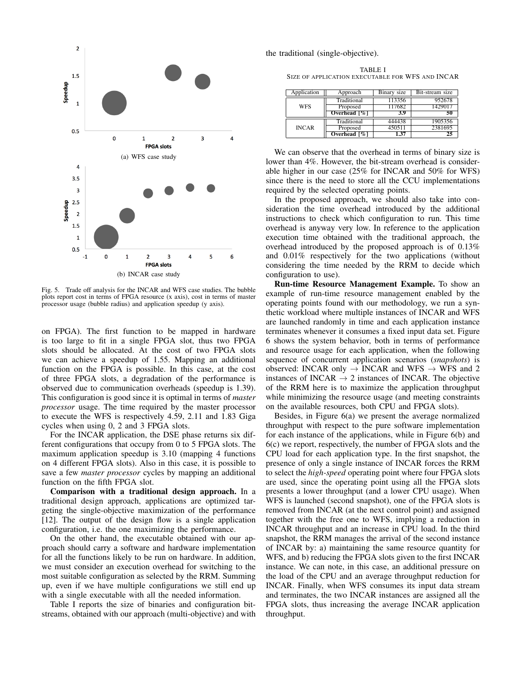

Fig. 5. Trade off analysis for the INCAR and WFS case studies. The bubble plots report cost in terms of FPGA resource (x axis), cost in terms of master processor usage (bubble radius) and application speedup (y axis).

on FPGA). The first function to be mapped in hardware is too large to fit in a single FPGA slot, thus two FPGA slots should be allocated. At the cost of two FPGA slots we can achieve a speedup of 1.55. Mapping an additional function on the FPGA is possible. In this case, at the cost of three FPGA slots, a degradation of the performance is observed due to communication overheads (speedup is 1.39). This configuration is good since it is optimal in terms of *master processor* usage. The time required by the master processor to execute the WFS is respectively 4.59, 2.11 and 1.83 Giga cycles when using 0, 2 and 3 FPGA slots.

For the INCAR application, the DSE phase returns six different configurations that occupy from 0 to 5 FPGA slots. The maximum application speedup is 3.10 (mapping 4 functions on 4 different FPGA slots). Also in this case, it is possible to save a few *master processor* cycles by mapping an additional function on the fifth FPGA slot.

Comparison with a traditional design approach. In a traditional design approach, applications are optimized targeting the single-objective maximization of the performance [12]. The output of the design flow is a single application configuration, i.e. the one maximizing the performance.

On the other hand, the executable obtained with our approach should carry a software and hardware implementation for all the functions likely to be run on hardware. In addition, we must consider an execution overhead for switching to the most suitable configuration as selected by the RRM. Summing up, even if we have multiple configurations we still end up with a single executable with all the needed information.

Table I reports the size of binaries and configuration bitstreams, obtained with our approach (multi-objective) and with the traditional (single-objective).

TABLE I SIZE OF APPLICATION EXECUTABLE FOR WFS AND INCAR

| Application  | Approach                    | Binary size      | Bit-stream size   |
|--------------|-----------------------------|------------------|-------------------|
| <b>WFS</b>   | Traditional<br>Proposed     | 113356<br>117682 | 952678<br>1429017 |
|              | Overhead $\lceil \% \rceil$ | 3.9              |                   |
| <b>INCAR</b> | Traditional                 | 444438           | 1905356           |
|              | Proposed                    | 450511           | 2381695           |
|              | Overhead [%]                | 1.37             |                   |

We can observe that the overhead in terms of binary size is lower than 4%. However, the bit-stream overhead is considerable higher in our case (25% for INCAR and 50% for WFS) since there is the need to store all the CCU implementations required by the selected operating points.

In the proposed approach, we should also take into consideration the time overhead introduced by the additional instructions to check which configuration to run. This time overhead is anyway very low. In reference to the application execution time obtained with the traditional approach, the overhead introduced by the proposed approach is of 0.13% and 0.01% respectively for the two applications (without considering the time needed by the RRM to decide which configuration to use).

Run-time Resource Management Example. To show an example of run-time resource management enabled by the operating points found with our methodology, we run a synthetic workload where multiple instances of INCAR and WFS are launched randomly in time and each application instance terminates whenever it consumes a fixed input data set. Figure 6 shows the system behavior, both in terms of performance and resource usage for each application, when the following sequence of concurrent application scenarios (*snapshots*) is observed: INCAR only  $\rightarrow$  INCAR and WFS  $\rightarrow$  WFS and 2 instances of INCAR  $\rightarrow$  2 instances of INCAR. The objective of the RRM here is to maximize the application throughput while minimizing the resource usage (and meeting constraints on the available resources, both CPU and FPGA slots).

Besides, in Figure 6(a) we present the average normalized throughput with respect to the pure software implementation for each instance of the applications, while in Figure 6(b) and 6(c) we report, respectively, the number of FPGA slots and the CPU load for each application type. In the first snapshot, the presence of only a single instance of INCAR forces the RRM to select the *high-speed* operating point where four FPGA slots are used, since the operating point using all the FPGA slots presents a lower throughput (and a lower CPU usage). When WFS is launched (second snapshot), one of the FPGA slots is removed from INCAR (at the next control point) and assigned together with the free one to WFS, implying a reduction in INCAR throughput and an increase in CPU load. In the third snapshot, the RRM manages the arrival of the second instance of INCAR by: a) maintaining the same resource quantity for WFS, and b) reducing the FPGA slots given to the first INCAR instance. We can note, in this case, an additional pressure on the load of the CPU and an average throughput reduction for INCAR. Finally, when WFS consumes its input data stream and terminates, the two INCAR instances are assigned all the FPGA slots, thus increasing the average INCAR application throughput.